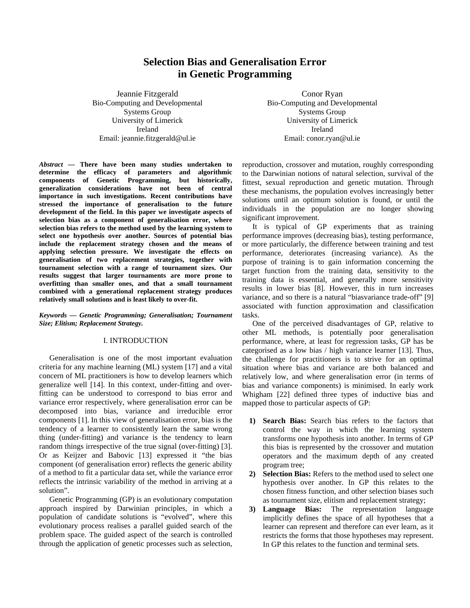# **Selection Bias and Generalisation Error in Genetic Programming**

Jeannie Fitzgerald Bio-Computing and Developmental Systems Group University of Limerick Ireland Email: jeannie.fitzgerald@ul.ie

Conor Ryan Bio-Computing and Developmental Systems Group University of Limerick Ireland Email: conor.ryan@ul.ie

*Abstract —* **There have been many studies undertaken to determine the efficacy of parameters and algorithmic components of Genetic Programming, but historically, generalization considerations have not been of central importance in such investigations. Recent contributions have stressed the importance of generalisation to the future development of the field. In this paper we investigate aspects of selection bias as a component of generalisation error, where selection bias refers to the method used by the learning system to select one hypothesis over another. Sources of potential bias include the replacement strategy chosen and the means of applying selection pressure. We investigate the effects on generalisation of two replacement strategies, together with tournament selection with a range of tournament sizes. Our results suggest that larger tournaments are more prone to overfitting than smaller ones, and that a small tournament combined with a generational replacement strategy produces relatively small solutions and is least likely to over-fit.** 

# *Keywords — Genetic Programming; Generalisation; Tournament Size; Elitism; Replacement Strategy.*

# I. INTRODUCTION

 Generalisation is one of the most important evaluation criteria for any machine learning (ML) system [17] and a vital concern of ML practitioners is how to develop learners which generalize well [14]. In this context, under-fitting and overfitting can be understood to correspond to bias error and variance error respectively, where generalisation error can be decomposed into bias, variance and irreducible error components [1]. In this view of generalisation error, bias is the tendency of a learner to consistently learn the same wrong thing (under-fitting) and variance is the tendency to learn random things irrespective of the true signal (over-fitting) [3]. Or as Keijzer and Babovic [13] expressed it "the bias component (of generalisation error) reflects the generic ability of a method to fit a particular data set, while the variance error reflects the intrinsic variability of the method in arriving at a solution".

 Genetic Programming (GP) is an evolutionary computation approach inspired by Darwinian principles, in which a population of candidate solutions is "evolved", where this evolutionary process realises a parallel guided search of the problem space. The guided aspect of the search is controlled through the application of genetic processes such as selection,

reproduction, crossover and mutation, roughly corresponding to the Darwinian notions of natural selection, survival of the fittest, sexual reproduction and genetic mutation. Through these mechanisms, the population evolves increasingly better solutions until an optimum solution is found, or until the individuals in the population are no longer showing significant improvement.

 It is typical of GP experiments that as training performance improves (decreasing bias), testing performance, or more particularly, the difference between training and test performance, deteriorates (increasing variance). As the purpose of training is to gain information concerning the target function from the training data, sensitivity to the training data is essential, and generally more sensitivity results in lower bias [8]. However, this in turn increases variance, and so there is a natural "biasvariance trade-off" [9] associated with function approximation and classification tasks.

 One of the perceived disadvantages of GP, relative to other ML methods, is potentially poor generalisation performance, where, at least for regression tasks, GP has be categorised as a low bias / high variance learner [13]. Thus, the challenge for practitioners is to strive for an optimal situation where bias and variance are both balanced and relatively low, and where generalisation error (in terms of bias and variance components) is minimised. In early work Whigham [22] defined three types of inductive bias and mapped those to particular aspects of GP:

- **1) Search Bias:** Search bias refers to the factors that control the way in which the learning system transforms one hypothesis into another. In terms of GP this bias is represented by the crossover and mutation operators and the maximum depth of any created program tree;
- **2) Selection Bias:** Refers to the method used to select one hypothesis over another. In GP this relates to the chosen fitness function, and other selection biases such as tournament size, elitism and replacement strategy;
- **3) Language Bias:** The representation language implicitly defines the space of all hypotheses that a learner can represent and therefore can ever learn, as it restricts the forms that those hypotheses may represent. In GP this relates to the function and terminal sets.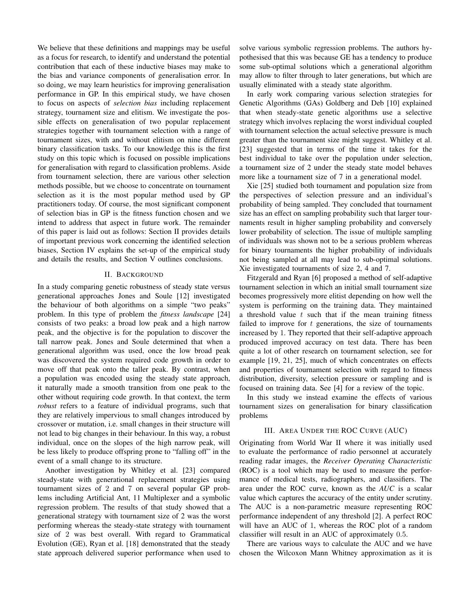We believe that these definitions and mappings may be useful as a focus for research, to identify and understand the potential contribution that each of these inductive biases may make to the bias and variance components of generalisation error. In so doing, we may learn heuristics for improving generalisation performance in GP. In this empirical study, we have chosen to focus on aspects of *selection bias* including replacement strategy, tournament size and elitism. We investigate the possible effects on generalisation of two popular replacement strategies together with tournament selection with a range of tournament sizes, with and without elitism on nine different binary classification tasks. To our knowledge this is the first study on this topic which is focused on possible implications for generalisation with regard to classification problems. Aside from tournament selection, there are various other selection methods possible, but we choose to concentrate on tournament selection as it is the most popular method used by GP practitioners today. Of course, the most significant component of selection bias in GP is the fitness function chosen and we intend to address that aspect in future work. The remainder of this paper is laid out as follows: Section II provides details of important previous work concerning the identified selection biases, Section IV explains the set-up of the empirical study and details the results, and Section V outlines conclusions.

# II. BACKGROUND

In a study comparing genetic robustness of steady state versus generational approaches Jones and Soule [12] investigated the behaviour of both algorithms on a simple "two peaks" problem. In this type of problem the *fitness landscape* [24] consists of two peaks: a broad low peak and a high narrow peak, and the objective is for the population to discover the tall narrow peak. Jones and Soule determined that when a generational algorithm was used, once the low broad peak was discovered the system required code growth in order to move off that peak onto the taller peak. By contrast, when a population was encoded using the steady state approach, it naturally made a smooth transition from one peak to the other without requiring code growth. In that context, the term *robust* refers to a feature of individual programs, such that they are relatively impervious to small changes introduced by crossover or mutation, i.e. small changes in their structure will not lead to big changes in their behaviour. In this way, a robust individual, once on the slopes of the high narrow peak, will be less likely to produce offspring prone to "falling off" in the event of a small change to its structure.

Another investigation by Whitley et al. [23] compared steady-state with generational replacement strategies using tournament sizes of 2 and 7 on several popular GP problems including Artificial Ant, 11 Multiplexer and a symbolic regression problem. The results of that study showed that a generational strategy with tournament size of 2 was the worst performing whereas the steady-state strategy with tournament size of 2 was best overall. With regard to Grammatical Evolution (GE), Ryan et al. [18] demonstrated that the steady state approach delivered superior performance when used to solve various symbolic regression problems. The authors hypothesised that this was because GE has a tendency to produce some sub-optimal solutions which a generational algorithm may allow to filter through to later generations, but which are usually eliminated with a steady state algorithm.

In early work comparing various selection strategies for Genetic Algorithms (GAs) Goldberg and Deb [10] explained that when steady-state genetic algorithms use a selective strategy which involves replacing the worst individual coupled with tournament selection the actual selective pressure is much greater than the tournament size might suggest. Whitley et al. [23] suggested that in terms of the time it takes for the best individual to take over the population under selection, a tournament size of 2 under the steady state model behaves more like a tournament size of 7 in a generational model.

Xie [25] studied both tournament and population size from the perspectives of selection pressure and an individual's probability of being sampled. They concluded that tournament size has an effect on sampling probability such that larger tournaments result in higher sampling probability and conversely lower probability of selection. The issue of multiple sampling of individuals was shown not to be a serious problem whereas for binary tournaments the higher probability of individuals not being sampled at all may lead to sub-optimal solutions. Xie investigated tournaments of size 2, 4 and 7.

Fitzgerald and Ryan [6] proposed a method of self-adaptive tournament selection in which an initial small tournament size becomes progressively more elitist depending on how well the system is performing on the training data. They maintained a threshold value  $t$  such that if the mean training fitness failed to improve for  $t$  generations, the size of tournaments increased by 1. They reported that their self-adaptive approach produced improved accuracy on test data. There has been quite a lot of other research on tournament selection, see for example [19, 21, 25], much of which concentrates on effects and properties of tournament selection with regard to fitness distribution, diversity, selection pressure or sampling and is focused on training data. See [4] for a review of the topic.

In this study we instead examine the effects of various tournament sizes on generalisation for binary classification problems

# III. AREA UNDER THE ROC CURVE (AUC)

Originating from World War II where it was initially used to evaluate the performance of radio personnel at accurately reading radar images, the *Receiver Operating Characteristic* (ROC) is a tool which may be used to measure the performance of medical tests, radiographers, and classifiers. The area under the ROC curve, known as the *AUC* is a scalar value which captures the accuracy of the entity under scrutiny. The AUC is a non-parametric measure representing ROC performance independent of any threshold [2]. A perfect ROC will have an AUC of 1, whereas the ROC plot of a random classifier will result in an AUC of approximately 0.5.

There are various ways to calculate the AUC and we have chosen the Wilcoxon Mann Whitney approximation as it is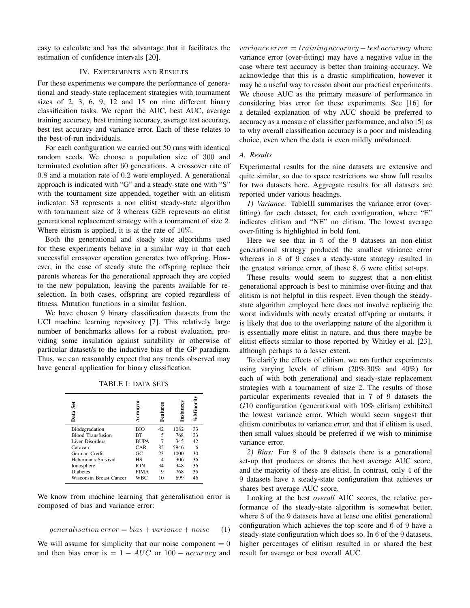easy to calculate and has the advantage that it facilitates the estimation of confidence intervals [20].

# IV. EXPERIMENTS AND RESULTS

For these experiments we compare the performance of generational and steady-state replacement strategies with tournament sizes of 2, 3, 6, 9, 12 and 15 on nine different binary classification tasks. We report the AUC, best AUC, average training accuracy, best training accuracy, average test accuracy, best test accuracy and variance error. Each of these relates to the best-of-run individuals.

For each configuration we carried out 50 runs with identical random seeds. We choose a population size of 300 and terminated evolution after 60 generations. A crossover rate of 0.8 and a mutation rate of 0.2 were employed. A generational approach is indicated with "G" and a steady-state one with "S" with the tournament size appended, together with an elitism indicator: S3 represents a non elitist steady-state algorithm with tournament size of 3 whereas G2E represents an elitist generational replacement strategy with a tournament of size 2. Where elitism is applied, it is at the rate of 10%.

Both the generational and steady state algorithms used for these experiments behave in a similar way in that each successful crossover operation generates two offspring. However, in the case of steady state the offspring replace their parents whereas for the generational approach they are copied to the new population, leaving the parents available for reselection. In both cases, offspring are copied regardless of fitness. Mutation functions in a similar fashion.

We have chosen 9 binary classification datasets from the UCI machine learning repository [7]. This relatively large number of benchmarks allows for a robust evaluation, providing some insulation against suitability or otherwise of particular dataset/s to the inductive bias of the GP paradigm. Thus, we can reasonably expect that any trends observed may have general application for binary classification.

| Šēt<br>Data              | cronvn      | Featur | Instanc | %Minori |
|--------------------------|-------------|--------|---------|---------|
| Biodegradation           | BІO         | 42     | 1082    | 33      |
| <b>Blood Transfusion</b> | BТ          | 5      | 768     | 23      |
| <b>Liver Disorders</b>   | <b>BUPA</b> | 7      | 345     | 42      |
| Caravan                  | CAR         | 85     | 5946    | 6       |
| German Credit            | GC.         | 23     | 1000    | 30      |
| Habermans Survival       | НS          |        | 306     | 36      |
| Ionosphere               | ION         | 34     | 348     | 36      |
| <b>Diabetes</b>          | <b>PIMA</b> | 9      | 768     | 35      |

#### TABLE I: DATA SETS

We know from machine learning that generalisation error is composed of bias and variance error:

Wisconsin Breast Cancer WBC 10 699 46

#### generalisation error = bias + variance + noise (1)

We will assume for simplicity that our noise component  $= 0$ and then bias error is  $= 1 - AUC$  or  $100 - accuracy$  and variance  $error = training$  accuracy  $-test$  accuracy where variance error (over-fitting) may have a negative value in the case where test accuracy is better than training accuracy. We acknowledge that this is a drastic simplification, however it may be a useful way to reason about our practical experiments. We choose AUC as the primary measure of performance in considering bias error for these experiments. See [16] for a detailed explanation of why AUC should be preferred to accuracy as a measure of classifier performance, and also [5] as to why overall classification accuracy is a poor and misleading choice, even when the data is even mildly unbalanced.

# *A. Results*

Experimental results for the nine datasets are extensive and quite similar, so due to space restrictions we show full results for two datasets here. Aggregate results for all datasets are reported under various headings.

*1) Variance:* TableIII summarises the variance error (overfitting) for each dataset, for each configuration, where "E" indicates elitism and "NE" no elitism. The lowest average over-fitting is highlighted in bold font.

Here we see that in 5 of the 9 datasets an non-elitist generational strategy produced the smallest variance error whereas in 8 of 9 cases a steady-state strategy resulted in the greatest variance error, of these 8, 6 were elitist set-ups.

These results would seem to suggest that a non-elitist generational approach is best to minimise over-fitting and that elitism is not helpful in this respect. Even though the steadystate algorithm employed here does not involve replacing the worst individuals with newly created offspring or mutants, it is likely that due to the overlapping nature of the algorithm it is essentially more elitist in nature, and thus there maybe be elitist effects similar to those reported by Whitley et al. [23], although perhaps to a lesser extent.

To clarify the effects of elitism, we ran further experiments using varying levels of elitism (20%,30% and 40%) for each of with both generational and steady-state replacement strategies with a tournament of size 2. The results of those particular experiments revealed that in 7 of 9 datasets the G10 configuration (generational with 10% elitism) exhibited the lowest variance error. Which would seem suggest that elitism contributes to variance error, and that if elitism is used, then small values should be preferred if we wish to minimise variance error.

*2) Bias:* For 8 of the 9 datasets there is a generational set-up that produces or shares the best average AUC score, and the majority of these are elitist. In contrast, only 4 of the 9 datasets have a steady-state configuration that achieves or shares best average AUC score.

Looking at the best *overall* AUC scores, the relative performance of the steady-state algorithm is somewhat better, where 8 of the 9 datasets have at lease one elitist generational configuration which achieves the top score and 6 of 9 have a steady-state configuration which does so. In 6 of the 9 datasets, higher percentages of elitism resulted in or shared the best result for average or best overall AUC.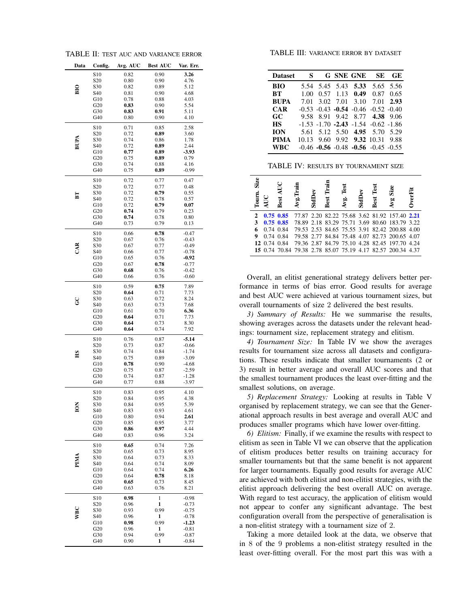TABLE II: TEST AUC AND VARIANCE ERROR

| S <sub>10</sub><br>0.82<br>0.90<br>3.26<br>S <sub>20</sub><br>0.80<br>0.90<br>4.76<br>S30<br>0.82<br>0.89<br>5.12<br>$\frac{1}{2}$<br>S40<br>0.81<br>0.90<br>4.68<br>G10<br>0.78<br>0.88<br>4.03<br>G20<br>0.83<br>0.90<br>5.54<br>G30<br>0.83<br>5.11<br>0.91<br>G40<br>$_{0.80}$<br>0.90<br>4.10<br>2.58<br>S <sub>10</sub><br>0.71<br>0.85<br>S <sub>20</sub><br>0.72<br>0.89<br>3.60<br>BUPA<br>S30<br>0.74<br>0.86<br>1.78<br>2.44<br>S40<br>0.72<br>0.89<br>G10<br>0.77<br>0.89<br>$-3.93$<br>0.79<br>G20<br>0.75<br>0.89<br>G30<br>0.74<br>0.88<br>4.16<br>G40<br>0.75<br>0.89<br>$-0.99$<br>0.72<br>0.77<br>0.47<br>S10<br>S <sub>20</sub><br>0.72<br>0.77<br>0.48<br>S30<br>0.72<br>0.79<br>0.55<br>E<br>S40<br>0.72<br>0.78<br>0.57<br>G10<br>0.72<br>0.79<br>0.07<br>G20<br>0.74<br>0.79<br>0.23<br>G30<br>0.74<br>0.78<br>0.80<br>G40<br>0.73<br>0.79<br>0.13<br>S <sub>10</sub><br>0.78<br>$-0.47$<br>0.66<br>S <sub>20</sub><br>0.67<br>0.76<br>$-0.43$<br>CAR<br>S30<br>0.67<br>0.77<br>$-0.49$<br>S40<br>$-0.78$<br>0.66<br>0.77<br>G10<br>0.65<br>0.76<br>$-0.92$<br>G20<br>0.67<br>0.78<br>$-0.77$<br>G30<br>0.68<br>0.76<br>$-0.42$<br>G40<br>0.66<br>0.76<br>$-0.60$<br>S <sub>10</sub><br>0.59<br>0.75<br>7.89<br>S <sub>20</sub><br>0.64<br>0.71<br>7.73<br>S30<br>8.24<br>0.63<br>0.72<br>င္ပ<br>S40<br>7.68<br>0.63<br>0.73<br>G10<br>0.61<br>6.36<br>0.70<br>G20<br>7.73<br>0.64<br>0.71<br>G30<br>8.30<br>0.64<br>0.73<br>G40<br>0.64<br>0.74<br>7.92<br>S <sub>10</sub><br>0.76<br>$-5.14$<br>0.87<br>S <sub>20</sub><br>0.73<br>0.87<br>$-0.66$<br>S30<br>0.74<br>0.84<br>$-1.74$<br>НS<br>S40<br>0.75<br>0.89<br>$-3.09$<br>G10<br>0.78<br>$-4.68$<br>0.90<br>$-2.59$<br>G20<br>0.75<br>0.87<br>G30<br>0.74<br>$-1.28$<br>0.87<br>G40<br>0.77<br>0.88<br>$-3.97$<br>S <sub>10</sub><br>0.95<br>0.83<br>4.10<br>S <sub>20</sub><br>0.84<br>0.95<br>4.38<br>z<br>5.39<br>S30<br>0.84<br>0.95<br>≌<br>S40<br>0.83<br>0.93<br>4.61<br>G10<br>0.80<br>0.94<br>2.61<br>G20<br>0.85<br>0.95<br>3.77<br>G30<br>0.97<br>4.44<br>0.86<br>G40<br>0.96<br>3.24<br>0.83<br>S <sub>10</sub><br>0.65<br>0.74<br>7.26<br>S <sub>20</sub><br>0.73<br>8.95<br>0.65<br>PIMA<br>S30<br>8.33<br>0.64<br>0.73<br>S40<br>0.74<br>0.64<br>8.09<br>G10<br>0.64<br>0.74<br>6.26<br>G20<br>0.64<br>0.78<br>8.18<br>G30<br>8.45<br>0.65<br>0,73<br>G40<br>0.63<br>0.76<br>8.21<br>S <sub>10</sub><br>0.98<br>1<br>$-0.98$<br>S <sub>20</sub><br>0.96<br>1<br>$-0.73$<br><b>WBC</b><br>S30<br>0.93<br>0.99<br>$-0.75$<br>S40<br>0.96<br>$-0.78$<br>1<br>G10<br>0.98<br>0.99<br>$-1.23$<br>G20<br>0.96<br>1<br>$-0.81$<br>G30<br>0.94<br>0.99<br>$-0.87$<br>G40<br>0.90<br>1<br>$-0.84$ | Data | Config. | Avg. AUC | <b>Best AUC</b> | Var. Err. |
|----------------------------------------------------------------------------------------------------------------------------------------------------------------------------------------------------------------------------------------------------------------------------------------------------------------------------------------------------------------------------------------------------------------------------------------------------------------------------------------------------------------------------------------------------------------------------------------------------------------------------------------------------------------------------------------------------------------------------------------------------------------------------------------------------------------------------------------------------------------------------------------------------------------------------------------------------------------------------------------------------------------------------------------------------------------------------------------------------------------------------------------------------------------------------------------------------------------------------------------------------------------------------------------------------------------------------------------------------------------------------------------------------------------------------------------------------------------------------------------------------------------------------------------------------------------------------------------------------------------------------------------------------------------------------------------------------------------------------------------------------------------------------------------------------------------------------------------------------------------------------------------------------------------------------------------------------------------------------------------------------------------------------------------------------------------------------------------------------------------------------------------------------------------------------------------------------------------------------------------------------------------------------------------------------------------------------------------------------------------------------------------------------------------------------------------------------------------------------------------------------------------------------------------------------------------------------------------------------------------------------------------------------------------------------------------|------|---------|----------|-----------------|-----------|
|                                                                                                                                                                                                                                                                                                                                                                                                                                                                                                                                                                                                                                                                                                                                                                                                                                                                                                                                                                                                                                                                                                                                                                                                                                                                                                                                                                                                                                                                                                                                                                                                                                                                                                                                                                                                                                                                                                                                                                                                                                                                                                                                                                                                                                                                                                                                                                                                                                                                                                                                                                                                                                                                                        |      |         |          |                 |           |
|                                                                                                                                                                                                                                                                                                                                                                                                                                                                                                                                                                                                                                                                                                                                                                                                                                                                                                                                                                                                                                                                                                                                                                                                                                                                                                                                                                                                                                                                                                                                                                                                                                                                                                                                                                                                                                                                                                                                                                                                                                                                                                                                                                                                                                                                                                                                                                                                                                                                                                                                                                                                                                                                                        |      |         |          |                 |           |
|                                                                                                                                                                                                                                                                                                                                                                                                                                                                                                                                                                                                                                                                                                                                                                                                                                                                                                                                                                                                                                                                                                                                                                                                                                                                                                                                                                                                                                                                                                                                                                                                                                                                                                                                                                                                                                                                                                                                                                                                                                                                                                                                                                                                                                                                                                                                                                                                                                                                                                                                                                                                                                                                                        |      |         |          |                 |           |
|                                                                                                                                                                                                                                                                                                                                                                                                                                                                                                                                                                                                                                                                                                                                                                                                                                                                                                                                                                                                                                                                                                                                                                                                                                                                                                                                                                                                                                                                                                                                                                                                                                                                                                                                                                                                                                                                                                                                                                                                                                                                                                                                                                                                                                                                                                                                                                                                                                                                                                                                                                                                                                                                                        |      |         |          |                 |           |
|                                                                                                                                                                                                                                                                                                                                                                                                                                                                                                                                                                                                                                                                                                                                                                                                                                                                                                                                                                                                                                                                                                                                                                                                                                                                                                                                                                                                                                                                                                                                                                                                                                                                                                                                                                                                                                                                                                                                                                                                                                                                                                                                                                                                                                                                                                                                                                                                                                                                                                                                                                                                                                                                                        |      |         |          |                 |           |
|                                                                                                                                                                                                                                                                                                                                                                                                                                                                                                                                                                                                                                                                                                                                                                                                                                                                                                                                                                                                                                                                                                                                                                                                                                                                                                                                                                                                                                                                                                                                                                                                                                                                                                                                                                                                                                                                                                                                                                                                                                                                                                                                                                                                                                                                                                                                                                                                                                                                                                                                                                                                                                                                                        |      |         |          |                 |           |
|                                                                                                                                                                                                                                                                                                                                                                                                                                                                                                                                                                                                                                                                                                                                                                                                                                                                                                                                                                                                                                                                                                                                                                                                                                                                                                                                                                                                                                                                                                                                                                                                                                                                                                                                                                                                                                                                                                                                                                                                                                                                                                                                                                                                                                                                                                                                                                                                                                                                                                                                                                                                                                                                                        |      |         |          |                 |           |
|                                                                                                                                                                                                                                                                                                                                                                                                                                                                                                                                                                                                                                                                                                                                                                                                                                                                                                                                                                                                                                                                                                                                                                                                                                                                                                                                                                                                                                                                                                                                                                                                                                                                                                                                                                                                                                                                                                                                                                                                                                                                                                                                                                                                                                                                                                                                                                                                                                                                                                                                                                                                                                                                                        |      |         |          |                 |           |
|                                                                                                                                                                                                                                                                                                                                                                                                                                                                                                                                                                                                                                                                                                                                                                                                                                                                                                                                                                                                                                                                                                                                                                                                                                                                                                                                                                                                                                                                                                                                                                                                                                                                                                                                                                                                                                                                                                                                                                                                                                                                                                                                                                                                                                                                                                                                                                                                                                                                                                                                                                                                                                                                                        |      |         |          |                 |           |
|                                                                                                                                                                                                                                                                                                                                                                                                                                                                                                                                                                                                                                                                                                                                                                                                                                                                                                                                                                                                                                                                                                                                                                                                                                                                                                                                                                                                                                                                                                                                                                                                                                                                                                                                                                                                                                                                                                                                                                                                                                                                                                                                                                                                                                                                                                                                                                                                                                                                                                                                                                                                                                                                                        |      |         |          |                 |           |
|                                                                                                                                                                                                                                                                                                                                                                                                                                                                                                                                                                                                                                                                                                                                                                                                                                                                                                                                                                                                                                                                                                                                                                                                                                                                                                                                                                                                                                                                                                                                                                                                                                                                                                                                                                                                                                                                                                                                                                                                                                                                                                                                                                                                                                                                                                                                                                                                                                                                                                                                                                                                                                                                                        |      |         |          |                 |           |
|                                                                                                                                                                                                                                                                                                                                                                                                                                                                                                                                                                                                                                                                                                                                                                                                                                                                                                                                                                                                                                                                                                                                                                                                                                                                                                                                                                                                                                                                                                                                                                                                                                                                                                                                                                                                                                                                                                                                                                                                                                                                                                                                                                                                                                                                                                                                                                                                                                                                                                                                                                                                                                                                                        |      |         |          |                 |           |
|                                                                                                                                                                                                                                                                                                                                                                                                                                                                                                                                                                                                                                                                                                                                                                                                                                                                                                                                                                                                                                                                                                                                                                                                                                                                                                                                                                                                                                                                                                                                                                                                                                                                                                                                                                                                                                                                                                                                                                                                                                                                                                                                                                                                                                                                                                                                                                                                                                                                                                                                                                                                                                                                                        |      |         |          |                 |           |
|                                                                                                                                                                                                                                                                                                                                                                                                                                                                                                                                                                                                                                                                                                                                                                                                                                                                                                                                                                                                                                                                                                                                                                                                                                                                                                                                                                                                                                                                                                                                                                                                                                                                                                                                                                                                                                                                                                                                                                                                                                                                                                                                                                                                                                                                                                                                                                                                                                                                                                                                                                                                                                                                                        |      |         |          |                 |           |
|                                                                                                                                                                                                                                                                                                                                                                                                                                                                                                                                                                                                                                                                                                                                                                                                                                                                                                                                                                                                                                                                                                                                                                                                                                                                                                                                                                                                                                                                                                                                                                                                                                                                                                                                                                                                                                                                                                                                                                                                                                                                                                                                                                                                                                                                                                                                                                                                                                                                                                                                                                                                                                                                                        |      |         |          |                 |           |
|                                                                                                                                                                                                                                                                                                                                                                                                                                                                                                                                                                                                                                                                                                                                                                                                                                                                                                                                                                                                                                                                                                                                                                                                                                                                                                                                                                                                                                                                                                                                                                                                                                                                                                                                                                                                                                                                                                                                                                                                                                                                                                                                                                                                                                                                                                                                                                                                                                                                                                                                                                                                                                                                                        |      |         |          |                 |           |
|                                                                                                                                                                                                                                                                                                                                                                                                                                                                                                                                                                                                                                                                                                                                                                                                                                                                                                                                                                                                                                                                                                                                                                                                                                                                                                                                                                                                                                                                                                                                                                                                                                                                                                                                                                                                                                                                                                                                                                                                                                                                                                                                                                                                                                                                                                                                                                                                                                                                                                                                                                                                                                                                                        |      |         |          |                 |           |
|                                                                                                                                                                                                                                                                                                                                                                                                                                                                                                                                                                                                                                                                                                                                                                                                                                                                                                                                                                                                                                                                                                                                                                                                                                                                                                                                                                                                                                                                                                                                                                                                                                                                                                                                                                                                                                                                                                                                                                                                                                                                                                                                                                                                                                                                                                                                                                                                                                                                                                                                                                                                                                                                                        |      |         |          |                 |           |
|                                                                                                                                                                                                                                                                                                                                                                                                                                                                                                                                                                                                                                                                                                                                                                                                                                                                                                                                                                                                                                                                                                                                                                                                                                                                                                                                                                                                                                                                                                                                                                                                                                                                                                                                                                                                                                                                                                                                                                                                                                                                                                                                                                                                                                                                                                                                                                                                                                                                                                                                                                                                                                                                                        |      |         |          |                 |           |
|                                                                                                                                                                                                                                                                                                                                                                                                                                                                                                                                                                                                                                                                                                                                                                                                                                                                                                                                                                                                                                                                                                                                                                                                                                                                                                                                                                                                                                                                                                                                                                                                                                                                                                                                                                                                                                                                                                                                                                                                                                                                                                                                                                                                                                                                                                                                                                                                                                                                                                                                                                                                                                                                                        |      |         |          |                 |           |
|                                                                                                                                                                                                                                                                                                                                                                                                                                                                                                                                                                                                                                                                                                                                                                                                                                                                                                                                                                                                                                                                                                                                                                                                                                                                                                                                                                                                                                                                                                                                                                                                                                                                                                                                                                                                                                                                                                                                                                                                                                                                                                                                                                                                                                                                                                                                                                                                                                                                                                                                                                                                                                                                                        |      |         |          |                 |           |
|                                                                                                                                                                                                                                                                                                                                                                                                                                                                                                                                                                                                                                                                                                                                                                                                                                                                                                                                                                                                                                                                                                                                                                                                                                                                                                                                                                                                                                                                                                                                                                                                                                                                                                                                                                                                                                                                                                                                                                                                                                                                                                                                                                                                                                                                                                                                                                                                                                                                                                                                                                                                                                                                                        |      |         |          |                 |           |
|                                                                                                                                                                                                                                                                                                                                                                                                                                                                                                                                                                                                                                                                                                                                                                                                                                                                                                                                                                                                                                                                                                                                                                                                                                                                                                                                                                                                                                                                                                                                                                                                                                                                                                                                                                                                                                                                                                                                                                                                                                                                                                                                                                                                                                                                                                                                                                                                                                                                                                                                                                                                                                                                                        |      |         |          |                 |           |
|                                                                                                                                                                                                                                                                                                                                                                                                                                                                                                                                                                                                                                                                                                                                                                                                                                                                                                                                                                                                                                                                                                                                                                                                                                                                                                                                                                                                                                                                                                                                                                                                                                                                                                                                                                                                                                                                                                                                                                                                                                                                                                                                                                                                                                                                                                                                                                                                                                                                                                                                                                                                                                                                                        |      |         |          |                 |           |
|                                                                                                                                                                                                                                                                                                                                                                                                                                                                                                                                                                                                                                                                                                                                                                                                                                                                                                                                                                                                                                                                                                                                                                                                                                                                                                                                                                                                                                                                                                                                                                                                                                                                                                                                                                                                                                                                                                                                                                                                                                                                                                                                                                                                                                                                                                                                                                                                                                                                                                                                                                                                                                                                                        |      |         |          |                 |           |
|                                                                                                                                                                                                                                                                                                                                                                                                                                                                                                                                                                                                                                                                                                                                                                                                                                                                                                                                                                                                                                                                                                                                                                                                                                                                                                                                                                                                                                                                                                                                                                                                                                                                                                                                                                                                                                                                                                                                                                                                                                                                                                                                                                                                                                                                                                                                                                                                                                                                                                                                                                                                                                                                                        |      |         |          |                 |           |
|                                                                                                                                                                                                                                                                                                                                                                                                                                                                                                                                                                                                                                                                                                                                                                                                                                                                                                                                                                                                                                                                                                                                                                                                                                                                                                                                                                                                                                                                                                                                                                                                                                                                                                                                                                                                                                                                                                                                                                                                                                                                                                                                                                                                                                                                                                                                                                                                                                                                                                                                                                                                                                                                                        |      |         |          |                 |           |
|                                                                                                                                                                                                                                                                                                                                                                                                                                                                                                                                                                                                                                                                                                                                                                                                                                                                                                                                                                                                                                                                                                                                                                                                                                                                                                                                                                                                                                                                                                                                                                                                                                                                                                                                                                                                                                                                                                                                                                                                                                                                                                                                                                                                                                                                                                                                                                                                                                                                                                                                                                                                                                                                                        |      |         |          |                 |           |
|                                                                                                                                                                                                                                                                                                                                                                                                                                                                                                                                                                                                                                                                                                                                                                                                                                                                                                                                                                                                                                                                                                                                                                                                                                                                                                                                                                                                                                                                                                                                                                                                                                                                                                                                                                                                                                                                                                                                                                                                                                                                                                                                                                                                                                                                                                                                                                                                                                                                                                                                                                                                                                                                                        |      |         |          |                 |           |
|                                                                                                                                                                                                                                                                                                                                                                                                                                                                                                                                                                                                                                                                                                                                                                                                                                                                                                                                                                                                                                                                                                                                                                                                                                                                                                                                                                                                                                                                                                                                                                                                                                                                                                                                                                                                                                                                                                                                                                                                                                                                                                                                                                                                                                                                                                                                                                                                                                                                                                                                                                                                                                                                                        |      |         |          |                 |           |
|                                                                                                                                                                                                                                                                                                                                                                                                                                                                                                                                                                                                                                                                                                                                                                                                                                                                                                                                                                                                                                                                                                                                                                                                                                                                                                                                                                                                                                                                                                                                                                                                                                                                                                                                                                                                                                                                                                                                                                                                                                                                                                                                                                                                                                                                                                                                                                                                                                                                                                                                                                                                                                                                                        |      |         |          |                 |           |
|                                                                                                                                                                                                                                                                                                                                                                                                                                                                                                                                                                                                                                                                                                                                                                                                                                                                                                                                                                                                                                                                                                                                                                                                                                                                                                                                                                                                                                                                                                                                                                                                                                                                                                                                                                                                                                                                                                                                                                                                                                                                                                                                                                                                                                                                                                                                                                                                                                                                                                                                                                                                                                                                                        |      |         |          |                 |           |
|                                                                                                                                                                                                                                                                                                                                                                                                                                                                                                                                                                                                                                                                                                                                                                                                                                                                                                                                                                                                                                                                                                                                                                                                                                                                                                                                                                                                                                                                                                                                                                                                                                                                                                                                                                                                                                                                                                                                                                                                                                                                                                                                                                                                                                                                                                                                                                                                                                                                                                                                                                                                                                                                                        |      |         |          |                 |           |
|                                                                                                                                                                                                                                                                                                                                                                                                                                                                                                                                                                                                                                                                                                                                                                                                                                                                                                                                                                                                                                                                                                                                                                                                                                                                                                                                                                                                                                                                                                                                                                                                                                                                                                                                                                                                                                                                                                                                                                                                                                                                                                                                                                                                                                                                                                                                                                                                                                                                                                                                                                                                                                                                                        |      |         |          |                 |           |
|                                                                                                                                                                                                                                                                                                                                                                                                                                                                                                                                                                                                                                                                                                                                                                                                                                                                                                                                                                                                                                                                                                                                                                                                                                                                                                                                                                                                                                                                                                                                                                                                                                                                                                                                                                                                                                                                                                                                                                                                                                                                                                                                                                                                                                                                                                                                                                                                                                                                                                                                                                                                                                                                                        |      |         |          |                 |           |
|                                                                                                                                                                                                                                                                                                                                                                                                                                                                                                                                                                                                                                                                                                                                                                                                                                                                                                                                                                                                                                                                                                                                                                                                                                                                                                                                                                                                                                                                                                                                                                                                                                                                                                                                                                                                                                                                                                                                                                                                                                                                                                                                                                                                                                                                                                                                                                                                                                                                                                                                                                                                                                                                                        |      |         |          |                 |           |
|                                                                                                                                                                                                                                                                                                                                                                                                                                                                                                                                                                                                                                                                                                                                                                                                                                                                                                                                                                                                                                                                                                                                                                                                                                                                                                                                                                                                                                                                                                                                                                                                                                                                                                                                                                                                                                                                                                                                                                                                                                                                                                                                                                                                                                                                                                                                                                                                                                                                                                                                                                                                                                                                                        |      |         |          |                 |           |
|                                                                                                                                                                                                                                                                                                                                                                                                                                                                                                                                                                                                                                                                                                                                                                                                                                                                                                                                                                                                                                                                                                                                                                                                                                                                                                                                                                                                                                                                                                                                                                                                                                                                                                                                                                                                                                                                                                                                                                                                                                                                                                                                                                                                                                                                                                                                                                                                                                                                                                                                                                                                                                                                                        |      |         |          |                 |           |
|                                                                                                                                                                                                                                                                                                                                                                                                                                                                                                                                                                                                                                                                                                                                                                                                                                                                                                                                                                                                                                                                                                                                                                                                                                                                                                                                                                                                                                                                                                                                                                                                                                                                                                                                                                                                                                                                                                                                                                                                                                                                                                                                                                                                                                                                                                                                                                                                                                                                                                                                                                                                                                                                                        |      |         |          |                 |           |
|                                                                                                                                                                                                                                                                                                                                                                                                                                                                                                                                                                                                                                                                                                                                                                                                                                                                                                                                                                                                                                                                                                                                                                                                                                                                                                                                                                                                                                                                                                                                                                                                                                                                                                                                                                                                                                                                                                                                                                                                                                                                                                                                                                                                                                                                                                                                                                                                                                                                                                                                                                                                                                                                                        |      |         |          |                 |           |
|                                                                                                                                                                                                                                                                                                                                                                                                                                                                                                                                                                                                                                                                                                                                                                                                                                                                                                                                                                                                                                                                                                                                                                                                                                                                                                                                                                                                                                                                                                                                                                                                                                                                                                                                                                                                                                                                                                                                                                                                                                                                                                                                                                                                                                                                                                                                                                                                                                                                                                                                                                                                                                                                                        |      |         |          |                 |           |
|                                                                                                                                                                                                                                                                                                                                                                                                                                                                                                                                                                                                                                                                                                                                                                                                                                                                                                                                                                                                                                                                                                                                                                                                                                                                                                                                                                                                                                                                                                                                                                                                                                                                                                                                                                                                                                                                                                                                                                                                                                                                                                                                                                                                                                                                                                                                                                                                                                                                                                                                                                                                                                                                                        |      |         |          |                 |           |
|                                                                                                                                                                                                                                                                                                                                                                                                                                                                                                                                                                                                                                                                                                                                                                                                                                                                                                                                                                                                                                                                                                                                                                                                                                                                                                                                                                                                                                                                                                                                                                                                                                                                                                                                                                                                                                                                                                                                                                                                                                                                                                                                                                                                                                                                                                                                                                                                                                                                                                                                                                                                                                                                                        |      |         |          |                 |           |
|                                                                                                                                                                                                                                                                                                                                                                                                                                                                                                                                                                                                                                                                                                                                                                                                                                                                                                                                                                                                                                                                                                                                                                                                                                                                                                                                                                                                                                                                                                                                                                                                                                                                                                                                                                                                                                                                                                                                                                                                                                                                                                                                                                                                                                                                                                                                                                                                                                                                                                                                                                                                                                                                                        |      |         |          |                 |           |
|                                                                                                                                                                                                                                                                                                                                                                                                                                                                                                                                                                                                                                                                                                                                                                                                                                                                                                                                                                                                                                                                                                                                                                                                                                                                                                                                                                                                                                                                                                                                                                                                                                                                                                                                                                                                                                                                                                                                                                                                                                                                                                                                                                                                                                                                                                                                                                                                                                                                                                                                                                                                                                                                                        |      |         |          |                 |           |
|                                                                                                                                                                                                                                                                                                                                                                                                                                                                                                                                                                                                                                                                                                                                                                                                                                                                                                                                                                                                                                                                                                                                                                                                                                                                                                                                                                                                                                                                                                                                                                                                                                                                                                                                                                                                                                                                                                                                                                                                                                                                                                                                                                                                                                                                                                                                                                                                                                                                                                                                                                                                                                                                                        |      |         |          |                 |           |
|                                                                                                                                                                                                                                                                                                                                                                                                                                                                                                                                                                                                                                                                                                                                                                                                                                                                                                                                                                                                                                                                                                                                                                                                                                                                                                                                                                                                                                                                                                                                                                                                                                                                                                                                                                                                                                                                                                                                                                                                                                                                                                                                                                                                                                                                                                                                                                                                                                                                                                                                                                                                                                                                                        |      |         |          |                 |           |
|                                                                                                                                                                                                                                                                                                                                                                                                                                                                                                                                                                                                                                                                                                                                                                                                                                                                                                                                                                                                                                                                                                                                                                                                                                                                                                                                                                                                                                                                                                                                                                                                                                                                                                                                                                                                                                                                                                                                                                                                                                                                                                                                                                                                                                                                                                                                                                                                                                                                                                                                                                                                                                                                                        |      |         |          |                 |           |
|                                                                                                                                                                                                                                                                                                                                                                                                                                                                                                                                                                                                                                                                                                                                                                                                                                                                                                                                                                                                                                                                                                                                                                                                                                                                                                                                                                                                                                                                                                                                                                                                                                                                                                                                                                                                                                                                                                                                                                                                                                                                                                                                                                                                                                                                                                                                                                                                                                                                                                                                                                                                                                                                                        |      |         |          |                 |           |
|                                                                                                                                                                                                                                                                                                                                                                                                                                                                                                                                                                                                                                                                                                                                                                                                                                                                                                                                                                                                                                                                                                                                                                                                                                                                                                                                                                                                                                                                                                                                                                                                                                                                                                                                                                                                                                                                                                                                                                                                                                                                                                                                                                                                                                                                                                                                                                                                                                                                                                                                                                                                                                                                                        |      |         |          |                 |           |
|                                                                                                                                                                                                                                                                                                                                                                                                                                                                                                                                                                                                                                                                                                                                                                                                                                                                                                                                                                                                                                                                                                                                                                                                                                                                                                                                                                                                                                                                                                                                                                                                                                                                                                                                                                                                                                                                                                                                                                                                                                                                                                                                                                                                                                                                                                                                                                                                                                                                                                                                                                                                                                                                                        |      |         |          |                 |           |
|                                                                                                                                                                                                                                                                                                                                                                                                                                                                                                                                                                                                                                                                                                                                                                                                                                                                                                                                                                                                                                                                                                                                                                                                                                                                                                                                                                                                                                                                                                                                                                                                                                                                                                                                                                                                                                                                                                                                                                                                                                                                                                                                                                                                                                                                                                                                                                                                                                                                                                                                                                                                                                                                                        |      |         |          |                 |           |
|                                                                                                                                                                                                                                                                                                                                                                                                                                                                                                                                                                                                                                                                                                                                                                                                                                                                                                                                                                                                                                                                                                                                                                                                                                                                                                                                                                                                                                                                                                                                                                                                                                                                                                                                                                                                                                                                                                                                                                                                                                                                                                                                                                                                                                                                                                                                                                                                                                                                                                                                                                                                                                                                                        |      |         |          |                 |           |
|                                                                                                                                                                                                                                                                                                                                                                                                                                                                                                                                                                                                                                                                                                                                                                                                                                                                                                                                                                                                                                                                                                                                                                                                                                                                                                                                                                                                                                                                                                                                                                                                                                                                                                                                                                                                                                                                                                                                                                                                                                                                                                                                                                                                                                                                                                                                                                                                                                                                                                                                                                                                                                                                                        |      |         |          |                 |           |
|                                                                                                                                                                                                                                                                                                                                                                                                                                                                                                                                                                                                                                                                                                                                                                                                                                                                                                                                                                                                                                                                                                                                                                                                                                                                                                                                                                                                                                                                                                                                                                                                                                                                                                                                                                                                                                                                                                                                                                                                                                                                                                                                                                                                                                                                                                                                                                                                                                                                                                                                                                                                                                                                                        |      |         |          |                 |           |
|                                                                                                                                                                                                                                                                                                                                                                                                                                                                                                                                                                                                                                                                                                                                                                                                                                                                                                                                                                                                                                                                                                                                                                                                                                                                                                                                                                                                                                                                                                                                                                                                                                                                                                                                                                                                                                                                                                                                                                                                                                                                                                                                                                                                                                                                                                                                                                                                                                                                                                                                                                                                                                                                                        |      |         |          |                 |           |
|                                                                                                                                                                                                                                                                                                                                                                                                                                                                                                                                                                                                                                                                                                                                                                                                                                                                                                                                                                                                                                                                                                                                                                                                                                                                                                                                                                                                                                                                                                                                                                                                                                                                                                                                                                                                                                                                                                                                                                                                                                                                                                                                                                                                                                                                                                                                                                                                                                                                                                                                                                                                                                                                                        |      |         |          |                 |           |
|                                                                                                                                                                                                                                                                                                                                                                                                                                                                                                                                                                                                                                                                                                                                                                                                                                                                                                                                                                                                                                                                                                                                                                                                                                                                                                                                                                                                                                                                                                                                                                                                                                                                                                                                                                                                                                                                                                                                                                                                                                                                                                                                                                                                                                                                                                                                                                                                                                                                                                                                                                                                                                                                                        |      |         |          |                 |           |
|                                                                                                                                                                                                                                                                                                                                                                                                                                                                                                                                                                                                                                                                                                                                                                                                                                                                                                                                                                                                                                                                                                                                                                                                                                                                                                                                                                                                                                                                                                                                                                                                                                                                                                                                                                                                                                                                                                                                                                                                                                                                                                                                                                                                                                                                                                                                                                                                                                                                                                                                                                                                                                                                                        |      |         |          |                 |           |
|                                                                                                                                                                                                                                                                                                                                                                                                                                                                                                                                                                                                                                                                                                                                                                                                                                                                                                                                                                                                                                                                                                                                                                                                                                                                                                                                                                                                                                                                                                                                                                                                                                                                                                                                                                                                                                                                                                                                                                                                                                                                                                                                                                                                                                                                                                                                                                                                                                                                                                                                                                                                                                                                                        |      |         |          |                 |           |
|                                                                                                                                                                                                                                                                                                                                                                                                                                                                                                                                                                                                                                                                                                                                                                                                                                                                                                                                                                                                                                                                                                                                                                                                                                                                                                                                                                                                                                                                                                                                                                                                                                                                                                                                                                                                                                                                                                                                                                                                                                                                                                                                                                                                                                                                                                                                                                                                                                                                                                                                                                                                                                                                                        |      |         |          |                 |           |
|                                                                                                                                                                                                                                                                                                                                                                                                                                                                                                                                                                                                                                                                                                                                                                                                                                                                                                                                                                                                                                                                                                                                                                                                                                                                                                                                                                                                                                                                                                                                                                                                                                                                                                                                                                                                                                                                                                                                                                                                                                                                                                                                                                                                                                                                                                                                                                                                                                                                                                                                                                                                                                                                                        |      |         |          |                 |           |
|                                                                                                                                                                                                                                                                                                                                                                                                                                                                                                                                                                                                                                                                                                                                                                                                                                                                                                                                                                                                                                                                                                                                                                                                                                                                                                                                                                                                                                                                                                                                                                                                                                                                                                                                                                                                                                                                                                                                                                                                                                                                                                                                                                                                                                                                                                                                                                                                                                                                                                                                                                                                                                                                                        |      |         |          |                 |           |
|                                                                                                                                                                                                                                                                                                                                                                                                                                                                                                                                                                                                                                                                                                                                                                                                                                                                                                                                                                                                                                                                                                                                                                                                                                                                                                                                                                                                                                                                                                                                                                                                                                                                                                                                                                                                                                                                                                                                                                                                                                                                                                                                                                                                                                                                                                                                                                                                                                                                                                                                                                                                                                                                                        |      |         |          |                 |           |

TABLE III: VARIANCE ERROR BY DATASET

| <b>Dataset</b> | S     |      |                | G SNE GNE           | SE.                                             | GE        |
|----------------|-------|------|----------------|---------------------|-------------------------------------------------|-----------|
| <b>BIO</b>     | 5.54  |      | 5.45 5.43      | 5.33                |                                                 | 5.65 5.56 |
| BТ             | 1.00  | 0.57 | 1.13           | 0.49                | 0.87                                            | 0.65      |
| <b>BUPA</b>    | 7.01  |      | 3.02 7.01 3.10 |                     | 7.01                                            | 2.93      |
| <b>CAR</b>     |       |      |                |                     | $-0.53$ $-0.43$ $-0.54$ $-0.46$ $-0.52$ $-0.40$ |           |
| $GC$           | 9.58  |      |                | 8.91 9.42 8.77      |                                                 | 4.38 9.06 |
| <b>HS</b>      |       |      |                |                     | $-1.53$ $-1.70$ $-2.43$ $-1.54$ $-0.62$ $-1.86$ |           |
| <b>ION</b>     | 5.61  |      |                | 5.12 5.50 4.95 5.70 |                                                 | 5.29      |
| <b>PIMA</b>    | 10.13 | 9.60 |                |                     | 9.92 9.32 10.31                                 | 9.88      |
| WBC            |       |      |                |                     | $-0.46$ $-0.56$ $-0.48$ $-0.56$ $-0.45$ $-0.55$ |           |
|                |       |      |                |                     |                                                 |           |

TABLE IV: RESULTS BY TOURNAMENT SIZE

| Size<br>mmo. |                     | R | StdD | n<br>Fain<br>Best | рò | $\mathbf{F}$<br>S<br>œ | Size<br>Avg                                                 | erFit |
|--------------|---------------------|---|------|-------------------|----|------------------------|-------------------------------------------------------------|-------|
|              | $2\quad 0.75\ 0.85$ |   |      |                   |    |                        | 77.87 2.20 82.22 75.68 3.62 81.92 157.40 2.21               |       |
| 3            | $0.75$ $0.85$       |   |      |                   |    |                        | 78.89 2.18 83.29 75.71 3.69 80.60 183.79 3.22               |       |
|              | 6 $0.74$ 0.84       |   |      |                   |    |                        | 79.53 2.53 84.65 75.55 3.91 82.42 200.88 4.00               |       |
| 9            | 0.74 0.84           |   |      |                   |    |                        | 79.58 2.77 84.84 75.48 4.07 82.73 200.65 4.07               |       |
|              | 12 0.74 0.84        |   |      |                   |    |                        | 79.36 2.87 84.79 75.10 4.28 82.45 197.70 4.24               |       |
|              |                     |   |      |                   |    |                        | 15 0.74 70.84 79.38 2.78 85.07 75.19 4.17 82.57 200.34 4.37 |       |

Overall, an elitist generational strategy delivers better performance in terms of bias error. Good results for average and best AUC were achieved at various tournament sizes, but overall tournaments of size 2 delivered the best results.

*3) Summary of Results:* He we summarise the results, showing averages across the datasets under the relevant headings: tournament size, replacement strategy and elitism.

*4) Tournament Size:* In Table IV we show the averages results for tournament size across all datasets and configurations. These results indicate that smaller tournaments (2 or 3) result in better average and overall AUC scores and that the smallest tournament produces the least over-fitting and the smallest solutions, on average.

*5) Replacement Strategy:* Looking at results in Table V organised by replacement strategy, we can see that the Generational approach results in best average and overall AUC and produces smaller programs which have lower over-fitting.

*6) Elitism:* Finally, if we examine the results with respect to elitism as seen in Table VI we can observe that the application of elitism produces better results on training accuracy for smaller tournaments but that the same benefit is not apparent for larger tournaments. Equally good results for average AUC are achieved with both elitist and non-elitist strategies, with the elitist approach delivering the best overall AUC on average. With regard to test accuracy, the application of elitism would not appear to confer any significant advantage. The best configuration overall from the perspective of generalisation is a non-elitist strategy with a tournament size of 2.

Taking a more detailed look at the data, we observe that in 8 of the 9 problems a non-elitist strategy resulted in the least over-fitting overall. For the most part this was with a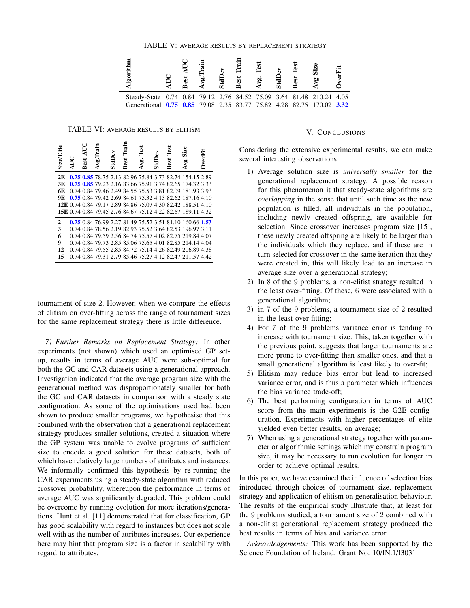

TABLE VI: AVERAGE RESULTS BY ELITISM

| <b>Size/Elite</b> | AUC | Best AUC | Avg. II | StdDev | Train<br>Best | Test<br>Ávg. | StdDev | lest<br>Best | Size<br>Avg                                                        | <b>UverFi</b> |
|-------------------|-----|----------|---------|--------|---------------|--------------|--------|--------------|--------------------------------------------------------------------|---------------|
| 2E                |     |          |         |        |               |              |        |              | 0.75 0.85 78.75 2.13 82.96 75.84 3.73 82.74 154.15 2.89            |               |
| 3E                |     |          |         |        |               |              |        |              | 0.75 0.85 79.23 2.16 83.66 75.91 3.74 82.65 174.32 3.33            |               |
| 6E                |     |          |         |        |               |              |        |              | 0.74 0.84 79.46 2.49 84.55 75.53 3.81 82.09 181.93 3.93            |               |
| 9E                |     |          |         |        |               |              |        |              | 0.75 0.84 79.42 2.69 84.61 75.32 4.13 82.62 187.16 4.10            |               |
|                   |     |          |         |        |               |              |        |              | <b>12E</b> 0.74 0.84 79.17 2.89 84.86 75.07 4.30 82.42 188.51 4.10 |               |
|                   |     |          |         |        |               |              |        |              | <b>15E</b> 0.74 0.84 79.45 2.76 84.67 75.12 4.22 82.67 189.11 4.32 |               |
| 2                 |     |          |         |        |               |              |        |              | 0.75 0.84 76.99 2.27 81.49 75.52 3.51 81.10 160.66 1.53            |               |
| 3                 |     |          |         |        |               |              |        |              | 0.74 0.84 78.56 2.19 82.93 75.52 3.64 82.53 196.97 3.11            |               |
| 6                 |     |          |         |        |               |              |        |              | 0.74 0.84 79.59 2.56 84.74 75.57 4.02 82.75 219.84 4.07            |               |
| 9                 |     |          |         |        |               |              |        |              | 0.74 0.84 79.73 2.85 85.06 75.65 4.01 82.85 214.14 4.04            |               |
| 12                |     |          |         |        |               |              |        |              | 0.74 0.84 79.55 2.85 84.72 75.14 4.26 82.49 206.89 4.38            |               |
| 15                |     |          |         |        |               |              |        |              | 0.74 0.84 79.31 2.79 85.46 75.27 4.12 82.47 211.57 4.42            |               |
|                   |     |          |         |        |               |              |        |              |                                                                    |               |

tournament of size 2. However, when we compare the effects of elitism on over-fitting across the range of tournament sizes for the same replacement strategy there is little difference.

*7) Further Remarks on Replacement Strategy:* In other experiments (not shown) which used an optimised GP setup, results in terms of average AUC were sub-optimal for both the GC and CAR datasets using a generational approach. Investigation indicated that the average program size with the generational method was disproportionately smaller for both the GC and CAR datasets in comparison with a steady state configuration. As some of the optimisations used had been shown to produce smaller programs, we hypothesise that this combined with the observation that a generational replacement strategy produces smaller solutions, created a situation where the GP system was unable to evolve programs of sufficient size to encode a good solution for these datasets, both of which have relatively large numbers of attributes and instances. We informally confirmed this hypothesis by re-running the CAR experiments using a steady-state algorithm with reduced crossover probability, whereupon the performance in terms of average AUC was significantly degraded. This problem could be overcome by running evolution for more iterations/generations. Hunt et al. [11] demonstrated that for classification, GP has good scalability with regard to instances but does not scale well with as the number of attributes increases. Our experience here may hint that program size is a factor in scalability with regard to attributes.

### V. CONCLUSIONS

Considering the extensive experimental results, we can make several interesting observations:

- 1) Average solution size is *universally smaller* for the generational replacement strategy. A possible reason for this phenomenon it that steady-state algorithms are *overlapping* in the sense that until such time as the new population is filled, all individuals in the population, including newly created offspring, are available for selection. Since crossover increases program size [15], these newly created offspring are likely to be larger than the individuals which they replace, and if these are in turn selected for crossover in the same iteration that they were created in, this will likely lead to an increase in average size over a generational strategy;
- 2) In 8 of the 9 problems, a non-elitist strategy resulted in the least over-fitting. Of these, 6 were associated with a generational algorithm;
- 3) in 7 of the 9 problems, a tournament size of 2 resulted in the least over-fitting;
- 4) For 7 of the 9 problems variance error is tending to increase with tournament size. This, taken together with the previous point, suggests that larger tournaments are more prone to over-fitting than smaller ones, and that a small generational algorithm is least likely to over-fit;
- 5) Elitism may reduce bias error but lead to increased variance error, and is thus a parameter which influences the bias variance trade-off;
- 6) The best performing configuration in terms of AUC score from the main experiments is the G2E configuration. Experiments with higher percentages of elite yielded even better results, on average;
- 7) When using a generational strategy together with parameter or algorithmic settings which my constrain program size, it may be necessary to run evolution for longer in order to achieve optimal results.

In this paper, we have examined the influence of selection bias introduced through choices of tournament size, replacement strategy and application of elitism on generalisation behaviour. The results of the empirical study illustrate that, at least for the 9 problems studied, a tournament size of 2 combined with a non-elitist generational replacement strategy produced the best results in terms of bias and variance error.

*Acknowledgements:* This work has been supported by the Science Foundation of Ireland. Grant No. 10/IN.1/I3031.